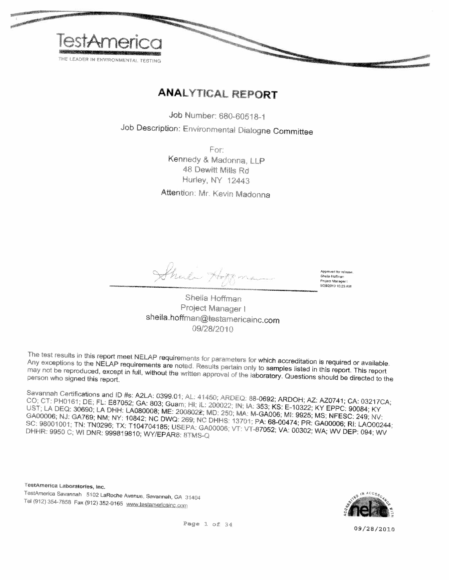

### **ANALYTICAL REPORT**

Job Number: 680-60518-1

Job Description: Environmental Dialogne Committee

For: Kennedy & Madonna, LLP 48 Dewitt Mills Rd Hurley, NY 12443

Attention: Mr. Kevin Madonna

Leton He

Approved for release Sheila Hoffman Project Manager 9/28/2010 10:23 AM

Sheila Hoffman Project Manager I sheila.hoffman@testamericainc.com 09/28/2010

The test results in this report meet NELAP requirements for parameters for which accreditation is required or available. Any exceptions to the NELAP requirements are noted. Results pertain only to samples listed in this report. This report may not be reproduced, except in full, without the written approval of the laboratory. Questions should be directed to the

Savannah Certifications and ID #s: A2LA: 0399.01; AL: 41450; ARDEQ: 88-0692; ARDOH; AZ: AZ0741; CA: 03217CA; CO; CT: PH0161; DE; FL: E87052; GA: 803; Guam; HI; IL: 200022; IN; IA: 353; KS: E-10322; KY EPPC: 90084; KY UST; LA DEQ: 30690; LA DHH: LA080008; ME: 2008022; MD: 250; MA: M-GA006; MI: 9925; MS; NFESC: 249; NV: GA00006; NJ: GA769; NM; NY: 10842; NC DWQ: 269; NC DHHS: 13701; PA: 68-00474; PR: GA00006; RI: LAO00244; SC: 98001001; TN: TN0296; TX: T104704185; USEPA: GA00006; VT: VT-87052; VA: 00302; WA; WV DEP: 094; WV DHHR: 9950 C; WI DNR: 999819810; WY/EPAR8: 8TMS-Q

TestAmerica Laboratories, Inc. TestAmerica Savannah 5102 LaRoche Avenue, Savannah, GA 31404 Tel (912) 354-7858 Fax (912) 352-0165 www.testamericainc.com



09/28/2010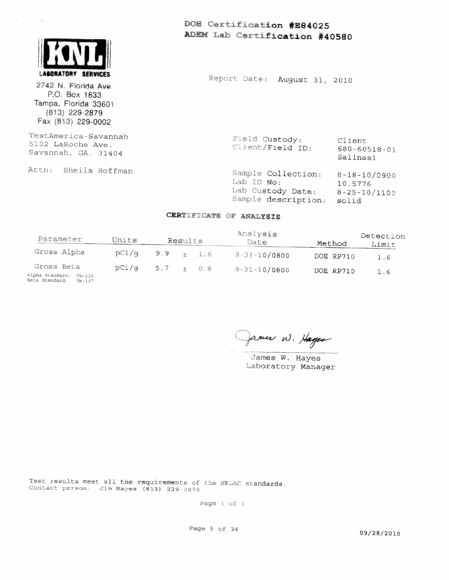

 $\bar{\mathbf{r}}$ 

2742 N. Florida Ave. P.O. Box 1833 Tampa, Florida 33601  $(813)$  229-2879 Fax (813) 229-0002

TestAmerica-Savannah 5102 LaRoche Ave. Savannah, GA. 31404

Attn: Sheila Hoffman

DOM Certification #E84025 ADEM Lab Certification #40580

Report Date: August 31, 2010

Field Custody: Client rieid Custody:<br>Client/Field ID:  $680 - 60518 - 01$ Salinasi

Sample Collection: 8-18-10/0900 Lab ID No: 10.5776 Lab Custody Date:  $8-25-10/1100$ Sample description: solid

#### CERTIFICATE OF ANALYSIS

| Parameter                                                        | Units        |     | Results |       | Analysis<br>Date   | Method    | Detection<br>Limit |
|------------------------------------------------------------------|--------------|-----|---------|-------|--------------------|-----------|--------------------|
| Gross Alpha                                                      | $pCi/\sigma$ | 9.9 |         | 1.6   | $8 - 31 - 10/0800$ | DOE RP710 | 1.6                |
| Gross Beta<br>Alpha Standard: Th-230<br>Seta Standard:<br>Ch-137 | pCi/g        | 5.7 | $-$     | - 0.8 | $8 - 31 - 10/0800$ | DOE RP710 | 1.6                |

James W. Hayes

James W. Hayes Laboratory Manager

Test results meet all the requirements of the NELAC standards. Contact person: Jim Hayes (813) 229-2879.

Page 1 of 1

Page 5 of 34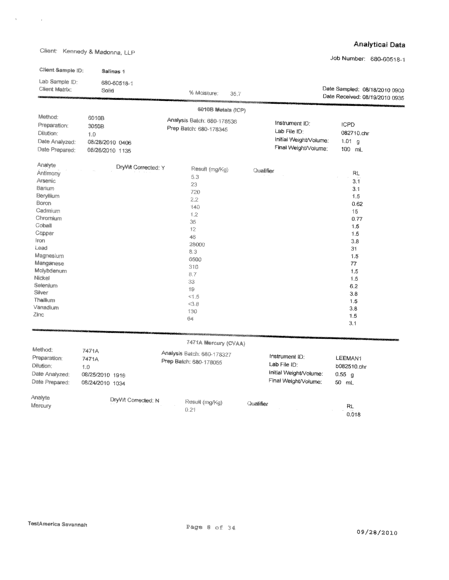Client: Kennedy & Madonna, LLP

 $\mathcal{A}^{\text{max}}_{\text{max}}$  , where  $\mathcal{A}^{\text{max}}_{\text{max}}$ 

#### **Analytical Data**

Job Number: 680-60518-1

| Client Sample ID:                                                                                                                                                                                                                        | Salinas 1                                                   |                                                                                                                                                         |                                                                                  |                                                                                                                                                |
|------------------------------------------------------------------------------------------------------------------------------------------------------------------------------------------------------------------------------------------|-------------------------------------------------------------|---------------------------------------------------------------------------------------------------------------------------------------------------------|----------------------------------------------------------------------------------|------------------------------------------------------------------------------------------------------------------------------------------------|
| Lab Sample ID:<br>Client Matrix:                                                                                                                                                                                                         | 680-60518-1<br>Solid                                        | % Moisture:<br>36.7                                                                                                                                     |                                                                                  | Date Sampled: 08/18/2010 0900<br>Date Received: 08/19/2010 0935                                                                                |
|                                                                                                                                                                                                                                          |                                                             | 6010B Metals (ICP)                                                                                                                                      |                                                                                  |                                                                                                                                                |
| Method:<br>Preparation:<br>Dilution:<br>Date Analyzed:<br>Date Prepared:                                                                                                                                                                 | 6010B<br>3050B<br>1.0<br>08/28/2010 0406<br>08/26/2010 1135 | Analysis Batch: 680-178536<br>Prep Batch: 680-178345                                                                                                    | Instrument ID:<br>Lab File ID:<br>Initial Weight/Volume:<br>Final Weight/Volume: | <b>ICPD</b><br>082710.chr<br>1.01 g<br>100 mL                                                                                                  |
| Analyte<br>Antimony<br><b>Arsenic</b><br>Barium<br>Beryllium<br>Boron<br>Cadmium<br>Chromium<br>Cobalt<br>Copper<br>Iron<br>Lead<br>Magnesium<br>Manganese<br>Molybdenum<br>Nickel<br>Selenium<br>Silver<br>Thallium<br>Vanadium<br>Zinc | DryWt Corrected: Y                                          | Result (mg/Kg)<br>5.3<br>23<br>720<br>2.2<br>140<br>1.2<br>35<br>12<br>46<br>28000<br>8.3<br>6500<br>310<br>8.7<br>33<br>19<br>1.5<br><3.8<br>130<br>64 | Qualifier                                                                        | RL.<br>3.1<br>3.1<br>1.5<br>0.62<br>15<br>0.77<br>1.5<br>1.5<br>3.8<br>31<br>1.5<br>77<br>1.5<br>1.5<br>6.2<br>3.8<br>1.5<br>3.8<br>1.5<br>3.1 |
|                                                                                                                                                                                                                                          |                                                             | 7471A Mercury (CVAA)                                                                                                                                    |                                                                                  |                                                                                                                                                |
| Method:<br>Preparation:<br>Dilution:<br>Date Analyzed:<br>Date Prepared:                                                                                                                                                                 | 7471A<br>7471A<br>1.0<br>08/25/2010 1916<br>08/24/2010 1034 | Analysis Batch: 680-178327<br>Prep Batch: 680-178055                                                                                                    | Instrument ID:<br>Lab File ID:<br>Initial Weight/Volume:<br>Final Weight/Volume: | LEEMAN1<br>b082510.chr<br>$0.55$ g<br>50 mL                                                                                                    |
| Analyte<br>Mercury                                                                                                                                                                                                                       | DryWt Corrected: N                                          | Result (mg/Kg)<br>0.21                                                                                                                                  | Qualifier                                                                        | RL<br>0.018                                                                                                                                    |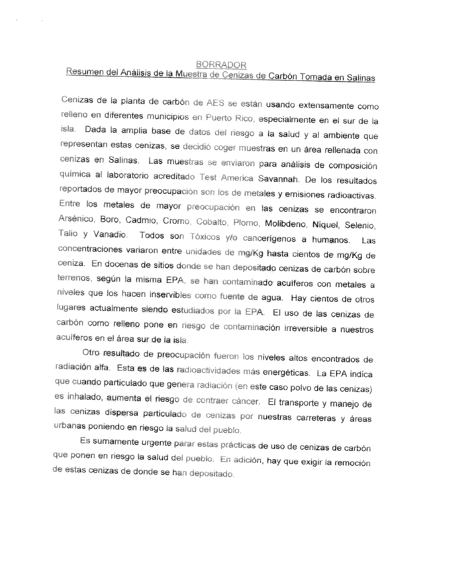#### **BORRADOR**

## Resumen del Análisis de la Muestra de Cenizas de Carbón Tomada en Salinas

Cenizas de la planta de carbón de AES se están usando extensamente como relleno en diferentes municipios en Puerto Rico, especialmente en el sur de la isla. Dada la amplia base de datos del riesgo a la salud y al ambiente que representan estas cenizas, se decidió coger muestras en un área rellenada con cenizas en Salinas. Las muestras se enviaron para análisis de composición química al laboratorio acreditado Test America Savannah. De los resultados reportados de mayor preocupación son los de metales y emisiones radioactivas. Entre los metales de mayor preocupación en las cenizas se encontraron Arsénico, Boro, Cadmio, Cromo, Cobalto, Plomo, Molibdeno, Níquel, Selenio, Talio y Vanadio. Todos son Tóxicos y/o cancerígenos a humanos. Las concentraciones variaron entre unidades de mg/Kg hasta cientos de mg/Kg de ceniza. En docenas de sitios donde se han depositado cenizas de carbón sobre terrenos, según la misma EPA, se han contaminado acuíferos con metales a niveles que los hacen inservibles como fuente de agua. Hay cientos de otros lugares actualmente siendo estudiados por la EPA. El uso de las cenizas de carbón como relleno pone en riesgo de contaminación irreversible a nuestros acuiferos en el área sur de la isla.

Otro resultado de preocupación fueron los niveles altos encontrados de radiación alfa. Esta es de las radioactividades más energéticas. La EPA indica que cuando particulado que genera radiación (en este caso polvo de las cenizas) es inhalado, aumenta el riesgo de contraer cáncer. El transporte y manejo de las cenizas dispersa particulado de cenizas por nuestras carreteras y áreas urbanas poniendo en riesgo la salud del pueblo.

Es sumamente urgente parar estas prácticas de uso de cenizas de carbón que ponen en riesgo la salud del pueblo. En adición, hay que exigir la remoción de estas cenizas de donde se han depositado.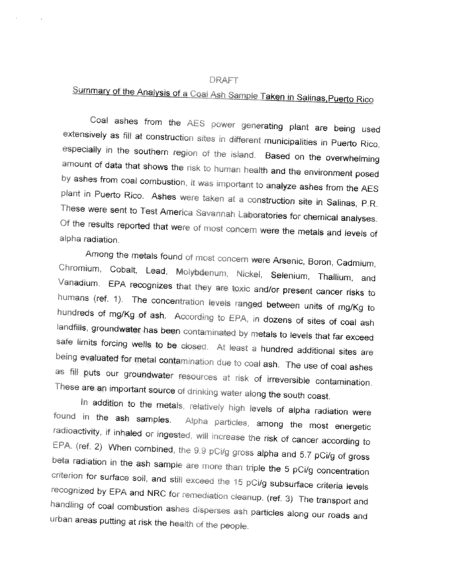#### DRAFT

# Summary of the Analysis of a Coal Ash Sample Taken in Salinas, Puerto Rico

Coal ashes from the AES power generating plant are being used extensively as fill at construction sites in different municipalities in Puerto Rico, especially in the southern region of the island. Based on the overwhelming amount of data that shows the risk to human health and the environment posed by ashes from coal combustion, it was important to analyze ashes from the AES plant in Puerto Rico. Ashes were taken at a construction site in Salinas, P.R. These were sent to Test America Savannah Laboratories for chemical analyses. Of the results reported that were of most concern were the metals and levels of alpha radiation.

Among the metals found of most concern were Arsenic, Boron, Cadmium, Chromium, Cobalt, Lead, Molybdenum, Nickel, Selenium, Thallium, and Vanadium. EPA recognizes that they are toxic and/or present cancer risks to humans (ref. 1). The concentration levels ranged between units of mg/Kg to hundreds of mg/Kg of ash. According to EPA, in dozens of sites of coal ash landfills, groundwater has been contaminated by metals to levels that far exceed safe limits forcing wells to be closed. At least a hundred additional sites are being evaluated for metal contamination due to coal ash. The use of coal ashes as fill puts our groundwater resources at risk of irreversible contamination. These are an important source of drinking water along the south coast.

In addition to the metals, relatively high levels of alpha radiation were found in the ash samples. Alpha particles, among the most energetic radioactivity, if inhaled or ingested, will increase the risk of cancer according to EPA. (ref. 2) When combined, the 9.9 pCi/g gross alpha and 5.7 pCi/g of gross beta radiation in the ash sample are more than triple the 5 pCi/g concentration criterion for surface soil, and still exceed the 15 pCi/g subsurface criteria levels recognized by EPA and NRC for remediation cleanup. (ref. 3) The transport and handling of coal combustion ashes disperses ash particles along our roads and urban areas putting at risk the health of the people.